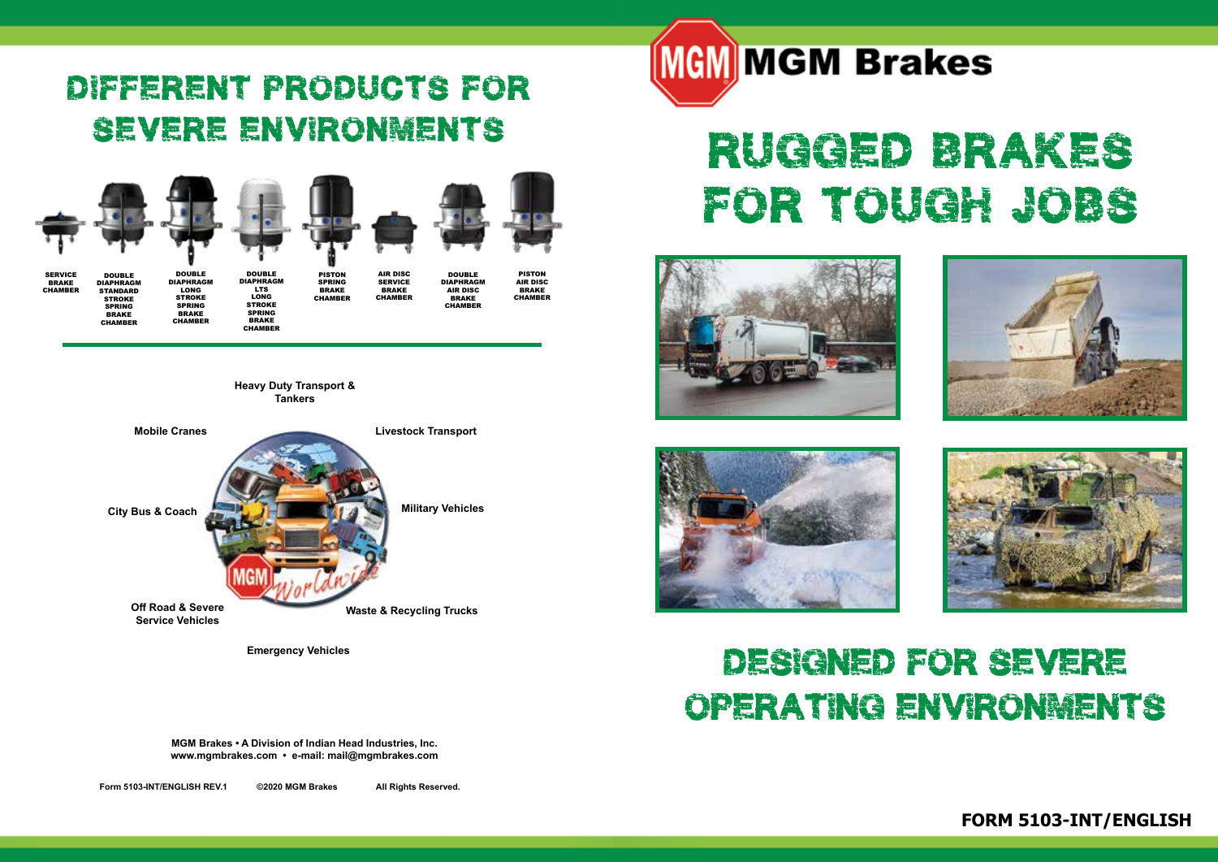### Different products for severe environments



**Heavy Duty Transport & Tankers**



**Emergency Vehicles**

**MGM Brakes • A Division of Indian Head Industries, Inc. www.mgmbrakes.com • e-mail: mail@mgmbrakes.com** 

**Form No. 5091-INT ©2/2019 Rev. 1/2020 MGM Brakes All Rights Reserved.**





# RUGGED BRAKES FOR TOUGH JOBS









### Designed for severe operating environments

**FORM 5103-INT/ENGLISH**